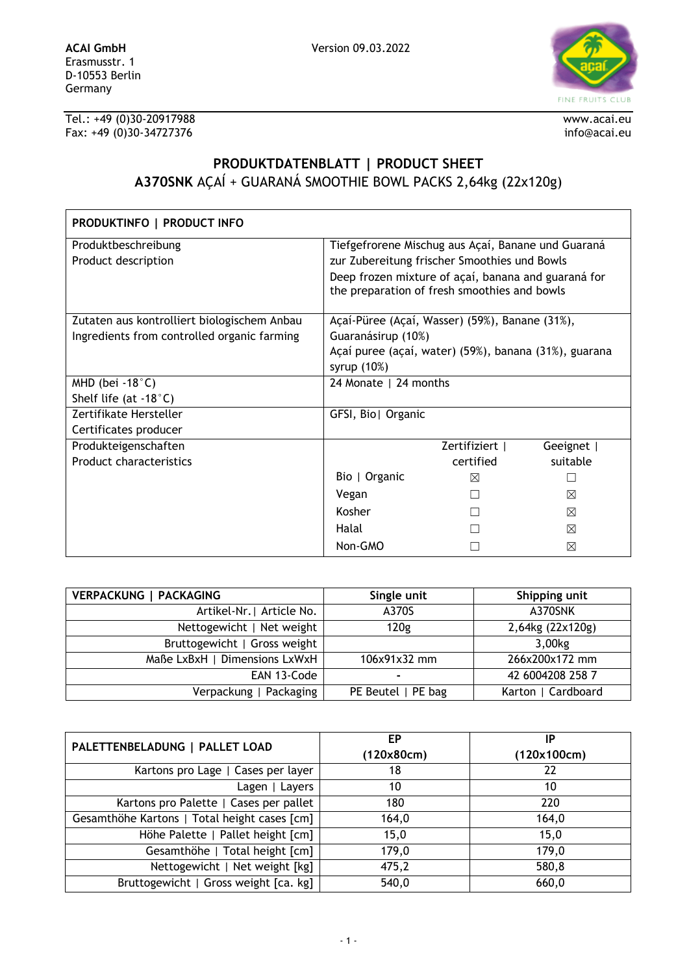

Tel.: +49 (0)30-20917988 www.acai.eu Fax: +49 (0)30-34727376 info@acai.eu

## **PRODUKTDATENBLATT | PRODUCT SHEET A370SNK** AÇAÍ + GUARANÁ SMOOTHIE BOWL PACKS 2,64kg (22x120g)

| PRODUKTINFO   PRODUCT INFO                  |                                                                                                     |              |          |
|---------------------------------------------|-----------------------------------------------------------------------------------------------------|--------------|----------|
| Produktbeschreibung                         | Tiefgefrorene Mischug aus Açaí, Banane und Guaraná                                                  |              |          |
| Product description                         | zur Zubereitung frischer Smoothies und Bowls                                                        |              |          |
|                                             | Deep frozen mixture of açaí, banana and guaraná for<br>the preparation of fresh smoothies and bowls |              |          |
| Zutaten aus kontrolliert biologischem Anbau | Açaí-Püree (Açaí, Wasser) (59%), Banane (31%),                                                      |              |          |
| Ingredients from controlled organic farming | Guaranásirup (10%)                                                                                  |              |          |
|                                             | Açaí puree (açaí, water) (59%), banana (31%), guarana                                               |              |          |
|                                             | syrup $(10%)$                                                                                       |              |          |
| MHD (bei $-18^{\circ}$ C)                   | 24 Monate   24 months                                                                               |              |          |
| Shelf life (at $-18^{\circ}$ C)             |                                                                                                     |              |          |
| Zertifikate Hersteller                      | GFSI, Bio  Organic                                                                                  |              |          |
| Certificates producer                       |                                                                                                     |              |          |
| Produkteigenschaften                        |                                                                                                     | Zertifiziert | Geeignet |
| <b>Product characteristics</b>              |                                                                                                     | certified    | suitable |
|                                             | Bio   Organic                                                                                       | ⊠            |          |
|                                             | Vegan                                                                                               |              | ⊠        |
|                                             | Kosher                                                                                              |              | ⊠        |
|                                             | Halal                                                                                               |              | ⊠        |
|                                             | Non-GMO                                                                                             |              | ⊠        |

| <b>VERPACKUNG   PACKAGING</b> | Single unit        | Shipping unit      |
|-------------------------------|--------------------|--------------------|
| Artikel-Nr.   Article No.     | A370S              | A370SNK            |
| Nettogewicht   Net weight     | 120g               | 2,64kg (22x120g)   |
| Bruttogewicht   Gross weight  |                    | 3,00kg             |
| Maße LxBxH   Dimensions LxWxH | 106x91x32 mm       | 266x200x172 mm     |
| EAN 13-Code                   |                    | 42 6004208 258 7   |
| Verpackung   Packaging        | PE Beutel   PE bag | Karton   Cardboard |

| PALETTENBELADUNG   PALLET LOAD               | ЕP         | IP          |
|----------------------------------------------|------------|-------------|
|                                              | (120x80cm) | (120x100cm) |
| Kartons pro Lage   Cases per layer           | 18         | 22          |
| Lagen   Layers                               | 10         | 10          |
| Kartons pro Palette   Cases per pallet       | 180        | 220         |
| Gesamthöhe Kartons   Total height cases [cm] | 164,0      | 164,0       |
| Höhe Palette   Pallet height [cm]            | 15,0       | 15,0        |
| Gesamthöhe   Total height [cm]               | 179,0      | 179,0       |
| Nettogewicht   Net weight [kg]               | 475,2      | 580,8       |
| Bruttogewicht   Gross weight [ca. kg]        | 540,0      | 660,0       |